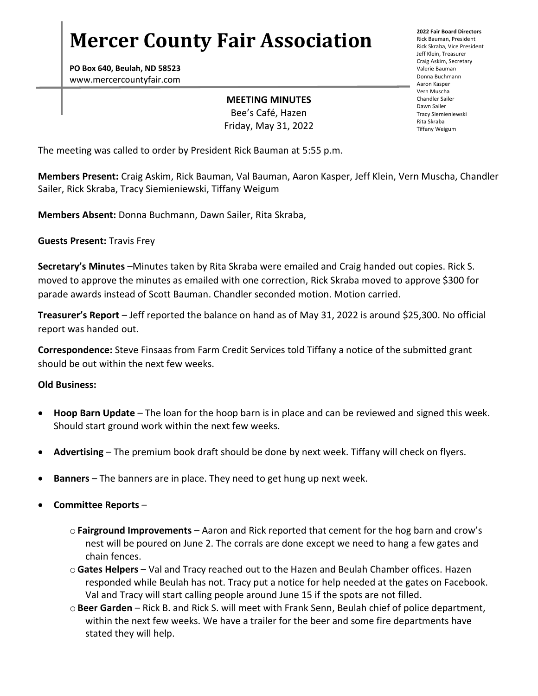# **Mercer County Fair Association**

**PO Box 640, Beulah, ND 58523** www.mercercountyfair.com

#### **MEETING MINUTES**

Bee's Café, Hazen Friday, May 31, 2022 **2022 Fair Board Directors** Rick Bauman, President Rick Skraba, Vice President Jeff Klein, Treasurer Craig Askim, Secretary Valerie Bauman Donna Buchmann Aaron Kasper Vern Muscha Chandler Sailer Dawn Sailer Tracy Siemieniewski Rita Skraba Tiffany Weigum

The meeting was called to order by President Rick Bauman at 5:55 p.m.

**Members Present:** Craig Askim, Rick Bauman, Val Bauman, Aaron Kasper, Jeff Klein, Vern Muscha, Chandler Sailer, Rick Skraba, Tracy Siemieniewski, Tiffany Weigum

**Members Absent:** Donna Buchmann, Dawn Sailer, Rita Skraba,

**Guests Present:** Travis Frey

**Secretary's Minutes** –Minutes taken by Rita Skraba were emailed and Craig handed out copies. Rick S. moved to approve the minutes as emailed with one correction, Rick Skraba moved to approve \$300 for parade awards instead of Scott Bauman. Chandler seconded motion. Motion carried.

**Treasurer's Report** – Jeff reported the balance on hand as of May 31, 2022 is around \$25,300. No official report was handed out.

**Correspondence:** Steve Finsaas from Farm Credit Services told Tiffany a notice of the submitted grant should be out within the next few weeks.

#### **Old Business:**

- **Hoop Barn Update** The loan for the hoop barn is in place and can be reviewed and signed this week. Should start ground work within the next few weeks.
- **Advertising**  The premium book draft should be done by next week. Tiffany will check on flyers.
- **Banners** The banners are in place. They need to get hung up next week.
- **Committee Reports**
	- o**Fairground Improvements** Aaron and Rick reported that cement for the hog barn and crow's nest will be poured on June 2. The corrals are done except we need to hang a few gates and chain fences.
	- o**Gates Helpers** Val and Tracy reached out to the Hazen and Beulah Chamber offices. Hazen responded while Beulah has not. Tracy put a notice for help needed at the gates on Facebook. Val and Tracy will start calling people around June 15 if the spots are not filled.
	- o**Beer Garden**  Rick B. and Rick S. will meet with Frank Senn, Beulah chief of police department, within the next few weeks. We have a trailer for the beer and some fire departments have stated they will help.